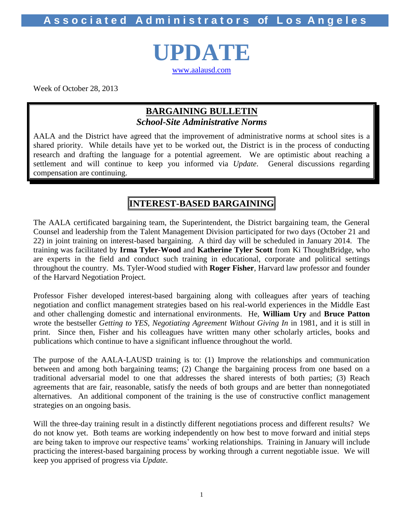**A s s o c i a t e d A d m i n i s t r a t o r s of L o s A n g e l e s**

**UPDATE** [www.aalausd.com](http://www.aalausd.com/)

Week of October 28, 2013

# **BARGAINING BULLETIN** *School-Site Administrative Norms*

AALA and the District have agreed that the improvement of administrative norms at school sites is a shared priority. While details have yet to be worked out, the District is in the process of conducting research and drafting the language for a potential agreement. We are optimistic about reaching a settlement and will continue to keep you informed via *Update*. General discussions regarding compensation are continuing.

# **INTEREST-BASED BARGAINING**

The AALA certificated bargaining team, the Superintendent, the District bargaining team, the General Counsel and leadership from the Talent Management Division participated for two days (October 21 and 22) in joint training on interest-based bargaining. A third day will be scheduled in January 2014. The training was facilitated by **Irma Tyler-Wood** and **Katherine Tyler Scott** from Ki ThoughtBridge, who are experts in the field and conduct such training in educational, corporate and political settings throughout the country. Ms. Tyler-Wood studied with **Roger Fisher**, Harvard law professor and founder of the Harvard Negotiation Project.

Professor Fisher developed interest-based bargaining along with colleagues after years of teaching negotiation and conflict management strategies based on his real-world experiences in the Middle East and other challenging domestic and international environments. He, **William Ury** and **Bruce Patton** wrote the bestseller *Getting to YES, Negotiating Agreement Without Giving In* in 1981, and it is still in print. Since then, Fisher and his colleagues have written many other scholarly articles, books and publications which continue to have a significant influence throughout the world.

The purpose of the AALA-LAUSD training is to: (1) Improve the relationships and communication between and among both bargaining teams; (2) Change the bargaining process from one based on a traditional adversarial model to one that addresses the shared interests of both parties; (3) Reach agreements that are fair, reasonable, satisfy the needs of both groups and are better than nonnegotiated alternatives. An additional component of the training is the use of constructive conflict management strategies on an ongoing basis.

Will the three-day training result in a distinctly different negotiations process and different results? We do not know yet. Both teams are working independently on how best to move forward and initial steps are being taken to improve our respective teams' working relationships. Training in January will include practicing the interest-based bargaining process by working through a current negotiable issue. We will keep you apprised of progress via *Update*.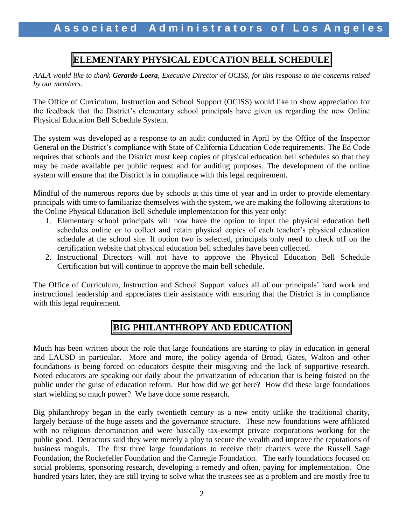# **ELEMENTARY PHYSICAL EDUCATION BELL SCHEDULE**

*AALA would like to thank Gerardo Loera, Executive Director of OCISS, for this response to the concerns raised by our members.*

The Office of Curriculum, Instruction and School Support (OCISS) would like to show appreciation for the feedback that the District's elementary school principals have given us regarding the new Online Physical Education Bell Schedule System.

The system was developed as a response to an audit conducted in April by the Office of the Inspector General on the District's compliance with State of California Education Code requirements. The Ed Code requires that schools and the District must keep copies of physical education bell schedules so that they may be made available per public request and for auditing purposes. The development of the online system will ensure that the District is in compliance with this legal requirement.

Mindful of the numerous reports due by schools at this time of year and in order to provide elementary principals with time to familiarize themselves with the system, we are making the following alterations to the Online Physical Education Bell Schedule implementation for this year only:

- 1. Elementary school principals will now have the option to input the physical education bell schedules online or to collect and retain physical copies of each teacher's physical education schedule at the school site. If option two is selected, principals only need to check off on the certification website that physical education bell schedules have been collected.
- 2. Instructional Directors will not have to approve the Physical Education Bell Schedule Certification but will continue to approve the main bell schedule.

The Office of Curriculum, Instruction and School Support values all of our principals' hard work and instructional leadership and appreciates their assistance with ensuring that the District is in compliance with this legal requirement.

# **BIG PHILANTHROPY AND EDUCATION**

Much has been written about the role that large foundations are starting to play in education in general and LAUSD in particular. More and more, the policy agenda of Broad, Gates, Walton and other foundations is being forced on educators despite their misgiving and the lack of supportive research. Noted educators are speaking out daily about the privatization of education that is being foisted on the public under the guise of education reform. But how did we get here? How did these large foundations start wielding so much power? We have done some research.

Big philanthropy began in the early twentieth century as a new entity unlike the traditional charity, largely because of the huge assets and the governance structure. These new foundations were affiliated with no religious denomination and were basically tax-exempt private corporations working for the public good. Detractors said they were merely a ploy to secure the wealth and improve the reputations of business moguls. The first three large foundations to receive their charters were the Russell Sage Foundation, the Rockefeller Foundation and the Carnegie Foundation. The early foundations focused on social problems, sponsoring research, developing a remedy and often, paying for implementation. One hundred years later, they are still trying to solve what the trustees see as a problem and are mostly free to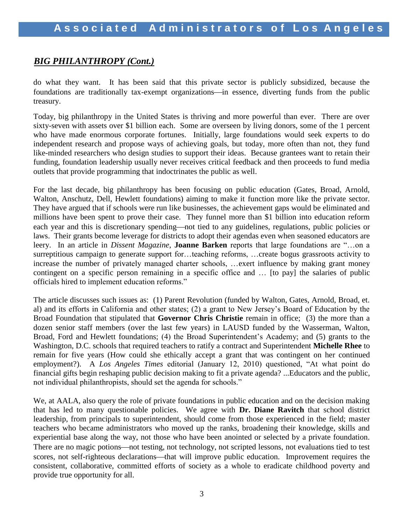# *BIG PHILANTHROPY (Cont.)*

do what they want. It has been said that this private sector is publicly subsidized, because the foundations are traditionally tax-exempt organizations—in essence, diverting funds from the public treasury.

Today, big philanthropy in the United States is thriving and more powerful than ever. There are over sixty-seven with assets over \$1 billion each. Some are overseen by living donors, some of the 1 percent who have made enormous corporate fortunes. Initially, large foundations would seek experts to do independent research and propose ways of achieving goals, but today, more often than not, they fund like-minded researchers who design studies to support their ideas. Because grantees want to retain their funding, foundation leadership usually never receives critical feedback and then proceeds to fund media outlets that provide programming that indoctrinates the public as well.

For the last decade, big philanthropy has been focusing on public education (Gates, Broad, Arnold, Walton, Anschutz, Dell, Hewlett foundations) aiming to make it function more like the private sector. They have argued that if schools were run like businesses, the achievement gaps would be eliminated and millions have been spent to prove their case. They funnel more than \$1 billion into education reform each year and this is discretionary spending—not tied to any guidelines, regulations, public policies or laws. Their grants become leverage for districts to adopt their agendas even when seasoned educators are leery. In an article in *Dissent Magazine*, **Joanne Barken** reports that large foundations are "…on a surreptitious campaign to generate support for…teaching reforms, …create bogus grassroots activity to increase the number of privately managed charter schools, …exert influence by making grant money contingent on a specific person remaining in a specific office and … [to pay] the salaries of public officials hired to implement education reforms."

The article discusses such issues as: (1) Parent Revolution (funded by Walton, Gates, Arnold, Broad, et. al) and its efforts in California and other states; (2) a grant to New Jersey's Board of Education by the Broad Foundation that stipulated that **Governor Chris Christie** remain in office; (3) the more than a dozen senior staff members (over the last few years) in LAUSD funded by the Wasserman, Walton, Broad, Ford and Hewlett foundations; (4) the Broad Superintendent's Academy; and (5) grants to the Washington, D.C. schools that required teachers to ratify a contract and Superintendent **Michelle Rhee** to remain for five years (How could she ethically accept a grant that was contingent on her continued employment?). A *Los Angeles Times* editorial (January 12, 2010) questioned, "At what point do financial gifts begin reshaping public decision making to fit a private agenda? ...Educators and the public, not individual philanthropists, should set the agenda for schools."

We, at AALA, also query the role of private foundations in public education and on the decision making that has led to many questionable policies. We agree with **Dr. Diane Ravitch** that school district leadership, from principals to superintendent, should come from those experienced in the field; master teachers who became administrators who moved up the ranks, broadening their knowledge, skills and experiential base along the way, not those who have been anointed or selected by a private foundation. There are no magic potions—not testing, not technology, not scripted lessons, not evaluations tied to test scores, not self-righteous declarations—that will improve public education. Improvement requires the consistent, collaborative, committed efforts of society as a whole to eradicate childhood poverty and provide true opportunity for all.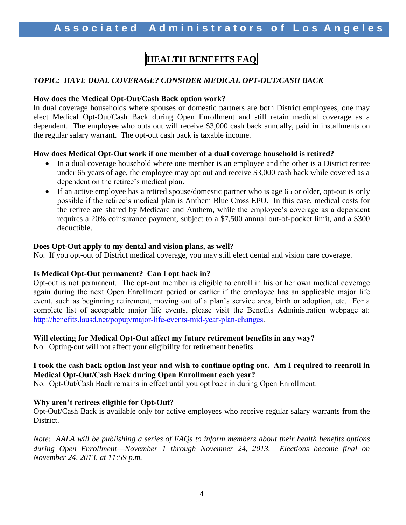# **HEALTH BENEFITS FAQ**

## *TOPIC: HAVE DUAL COVERAGE? CONSIDER MEDICAL OPT-OUT/CASH BACK*

#### **How does the Medical Opt-Out/Cash Back option work?**

In dual coverage households where spouses or domestic partners are both District employees, one may elect Medical Opt-Out/Cash Back during Open Enrollment and still retain medical coverage as a dependent. The employee who opts out will receive \$3,000 cash back annually, paid in installments on the regular salary warrant. The opt-out cash back is taxable income.

### **How does Medical Opt-Out work if one member of a dual coverage household is retired?**

- In a dual coverage household where one member is an employee and the other is a District retiree under 65 years of age, the employee may opt out and receive \$3,000 cash back while covered as a dependent on the retiree's medical plan.
- If an active employee has a retired spouse/domestic partner who is age 65 or older, opt-out is only possible if the retiree's medical plan is Anthem Blue Cross EPO. In this case, medical costs for the retiree are shared by Medicare and Anthem, while the employee's coverage as a dependent requires a 20% coinsurance payment, subject to a \$7,500 annual out-of-pocket limit, and a \$300 deductible.

### **Does Opt-Out apply to my dental and vision plans, as well?**

No. If you opt-out of District medical coverage, you may still elect dental and vision care coverage.

## **Is Medical Opt-Out permanent? Can I opt back in?**

Opt-out is not permanent. The opt-out member is eligible to enroll in his or her own medical coverage again during the next Open Enrollment period or earlier if the employee has an applicable major life event, such as beginning retirement, moving out of a plan's service area, birth or adoption, etc. For a complete list of acceptable major life events, please visit the Benefits Administration webpage at: [http://benefits.lausd.net/popup/major-life-events-mid-year-plan-changes.](http://benefits.lausd.net/popup/major-life-events-mid-year-plan-changes)

#### **Will electing for Medical Opt-Out affect my future retirement benefits in any way?**

No. Opting-out will not affect your eligibility for retirement benefits.

### **I took the cash back option last year and wish to continue opting out. Am I required to reenroll in Medical Opt-Out/Cash Back during Open Enrollment each year?**

No. Opt-Out/Cash Back remains in effect until you opt back in during Open Enrollment.

## **Why aren't retirees eligible for Opt-Out?**

Opt-Out/Cash Back is available only for active employees who receive regular salary warrants from the District.

*Note: AALA will be publishing a series of FAQs to inform members about their health benefits options during Open EnrollmentNovember 1 through November 24, 2013. Elections become final on November 24, 2013, at 11:59 p.m.*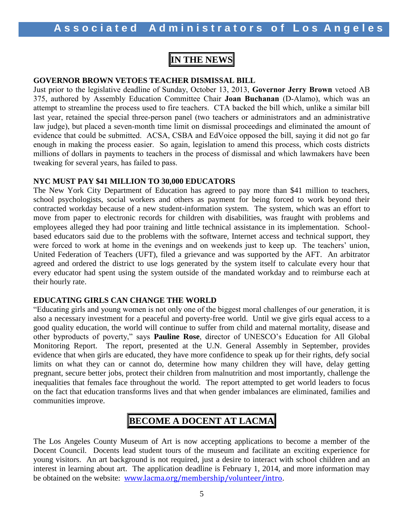# **IN THE NEWS**

#### **GOVERNOR BROWN VETOES TEACHER DISMISSAL BILL**

Just prior to the legislative deadline of Sunday, October 13, 2013, **Governor Jerry Brown** vetoed AB 375, authored by Assembly Education Committee Chair **Joan Buchanan** (D-Alamo), which was an attempt to streamline the process used to fire teachers. CTA backed the bill which, unlike a similar bill last year, retained the special three-person panel (two teachers or administrators and an administrative law judge), but placed a seven-month time limit on dismissal proceedings and eliminated the amount of evidence that could be submitted. ACSA, CSBA and EdVoice opposed the bill, saying it did not go far enough in making the process easier. So again, legislation to amend this process, which costs districts millions of dollars in payments to teachers in the process of dismissal and which lawmakers have been tweaking for several years, has failed to pass.

### **NYC MUST PAY \$41 MILLION TO 30,000 EDUCATORS**

The New York City Department of Education has agreed to pay more than \$41 million to teachers, school psychologists, social workers and others as payment for being forced to work beyond their contracted workday because of a new student-information system. The system, which was an effort to move from paper to electronic records for children with disabilities, was fraught with problems and employees alleged they had poor training and little technical assistance in its implementation. Schoolbased educators said due to the problems with the software, Internet access and technical support, they were forced to work at home in the evenings and on weekends just to keep up. The teachers' union, United Federation of Teachers (UFT), filed a grievance and was supported by the AFT. An arbitrator agreed and ordered the district to use logs generated by the system itself to calculate every hour that every educator had spent using the system outside of the mandated workday and to reimburse each at their hourly rate.

## **EDUCATING GIRLS CAN CHANGE THE WORLD**

"Educating girls and young women is not only one of the biggest moral challenges of our generation, it is also a necessary investment for a peaceful and poverty-free world. Until we give girls equal access to a good quality education, the world will continue to suffer from child and maternal mortality, disease and other byproducts of poverty," says **Pauline Rose**, director of UNESCO's Education for All Global Monitoring Report. The report, presented at the U.N. General Assembly in September, provides evidence that when girls are educated, they have more confidence to speak up for their rights, defy social limits on what they can or cannot do, determine how many children they will have, delay getting pregnant, secure better jobs, protect their children from malnutrition and most importantly, challenge the inequalities that females face throughout the world. The report attempted to get world leaders to focus on the fact that education transforms lives and that when gender imbalances are eliminated, families and communities improve.

# **BECOME A DOCENT AT LACMA**

The Los Angeles County Museum of Art is now accepting applications to become a member of the Docent Council. Docents lead student tours of the museum and facilitate an exciting experience for young visitors. An art background is not required, just a desire to interact with school children and an interest in learning about art. The application deadline is February 1, 2014, and more information may be obtained on the website: [www.lacma.org/membership/volunteer/intro](http://www.lacma.org/membership/volunteer/intro).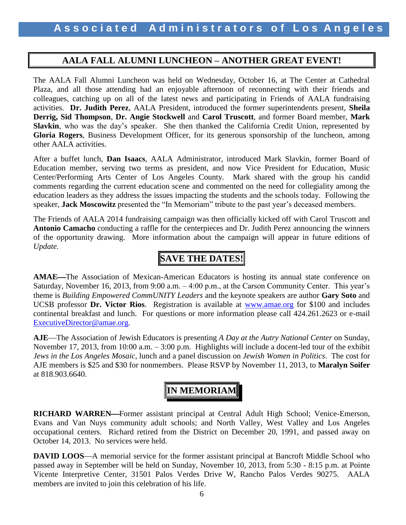# **AALA FALL ALUMNI LUNCHEON – ANOTHER GREAT EVENT!**

The AALA Fall Alumni Luncheon was held on Wednesday, October 16, at The Center at Cathedral Plaza, and all those attending had an enjoyable afternoon of reconnecting with their friends and colleagues, catching up on all of the latest news and participating in Friends of AALA fundraising activities. **Dr. Judith Perez**, AALA President, introduced the former superintendents present, **Sheila Derrig, Sid Thompson**, **Dr. Angie Stockwell** and **Carol Truscott**, and former Board member, **Mark Slavkin**, who was the day's speaker. She then thanked the California Credit Union, represented by **Gloria Rogers**, Business Development Officer, for its generous sponsorship of the luncheon, among other AALA activities.

After a buffet lunch, **Dan Isaacs**, AALA Administrator, introduced Mark Slavkin, former Board of Education member, serving two terms as president, and now Vice President for Education, Music Center/Performing Arts Center of Los Angeles County. Mark shared with the group his candid comments regarding the current education scene and commented on the need for collegiality among the education leaders as they address the issues impacting the students and the schools today. Following the speaker, **Jack Moscowitz** presented the "In Memoriam" tribute to the past year's deceased members.

The Friends of AALA 2014 fundraising campaign was then officially kicked off with Carol Truscott and **Antonio Camacho** conducting a raffle for the centerpieces and Dr. Judith Perez announcing the winners of the opportunity drawing. More information about the campaign will appear in future editions of *Update.* 

# **SAVE THE DATES!**

**AMAE—The Association of Mexican-American Educators is hosting its annual state conference on** Saturday, November 16, 2013, from 9:00 a.m. – 4:00 p.m., at the Carson Community Center. This year's theme is *Building Empowered CommUNITY Leaders* and the keynote speakers are author **Gary Soto** and UCSB professor **Dr. Victor Rios**. Registration is available at [www.amae.org](http://www.amae.org/) for \$100 and includes continental breakfast and lunch. For questions or more information please call 424.261.2623 or e-mail [ExecutiveDirector@amae.org.](mailto:ExecutiveDirector@amae.org)

**AJE**—The Association of Jewish Educators is presenting *A Day at the Autry National Center* on Sunday, November 17, 2013, from 10:00 a.m. – 3:00 p.m. Highlights will include a docent-led tour of the exhibit *Jews in the Los Angeles Mosaic*, lunch and a panel discussion on *Jewish Women in Politics*. The cost for AJE members is \$25 and \$30 for nonmembers. Please RSVP by November 11, 2013, to **Maralyn Soifer** at 818.903.6640.



**RICHARD WARREN—Former assistant principal at Central Adult High School; Venice-Emerson,** Evans and Van Nuys community adult schools; and North Valley, West Valley and Los Angeles occupational centers. Richard retired from the District on December 20, 1991, and passed away on October 14, 2013. No services were held.

**DAVID LOOS—A** memorial service for the former assistant principal at Bancroft Middle School who passed away in September will be held on Sunday, November 10, 2013, from 5:30 - 8:15 p.m. at Pointe Vicente Interpretive Center, 31501 Palos Verdes Drive W, Rancho Palos Verdes 90275. AALA members are invited to join this celebration of his life.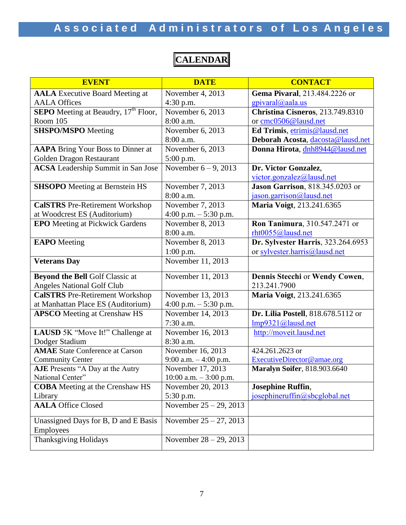# Associated Administrators of Los Angeles

# **CALENDAR**

| <b>EVENT</b>                                             | <b>DATE</b>                        | <b>CONTACT</b>                      |
|----------------------------------------------------------|------------------------------------|-------------------------------------|
| <b>AALA</b> Executive Board Meeting at                   | November 4, 2013                   | Gema Pivaral, 213.484.2226 or       |
| <b>AALA Offices</b>                                      | $4:30$ p.m.                        | $g$ pivaral@aala.us                 |
| <b>SEPO</b> Meeting at Beaudry, 17 <sup>th</sup> Floor,  | November 6, 2013                   | Christina Cisneros, 213.749.8310    |
| Room 105                                                 | 8:00 a.m.                          | or cmc0506@lausd.net                |
| <b>SHSPO/MSPO</b> Meeting                                | November 6, 2013                   | Ed Trimis, etrimis@lausd.net        |
|                                                          | 8:00 a.m.                          | Deborah Acosta, dacosta@lausd.net   |
| <b>AAPA</b> Bring Your Boss to Dinner at                 | November 6, 2013                   | Donna Hirota, dnh8944@lausd.net     |
| Golden Dragon Restaurant                                 | 5:00 p.m.                          |                                     |
| <b>ACSA</b> Leadership Summit in San Jose                | November $6-9$ , $2\overline{013}$ | Dr. Victor Gonzalez,                |
|                                                          |                                    | victor.gonzalez@lausd.net           |
| <b>SHSOPO</b> Meeting at Bernstein HS                    | November 7, 2013                   | Jason Garrison, 818.345.0203 or     |
|                                                          | 8:00 a.m.                          | jason.garrison@lausd.net            |
| <b>CalSTRS</b> Pre-Retirement Workshop                   | November 7, 2013                   | Maria Voigt, 213.241.6365           |
| at Woodcrest ES (Auditorium)                             | 4:00 p.m. $-$ 5:30 p.m.            |                                     |
| <b>EPO</b> Meeting at Pickwick Gardens                   | November 8, 2013                   | Ron Tanimura, 310.547.2471 or       |
|                                                          | 8:00 a.m.                          | rht0055@lausd.net                   |
| <b>EAPO</b> Meeting                                      | November 8, 2013                   | Dr. Sylvester Harris, 323.264.6953  |
|                                                          | 1:00 p.m.                          | or sylvester.harris@lausd.net       |
| <b>Veterans Day</b>                                      | November 11, 2013                  |                                     |
| <b>Beyond the Bell Golf Classic at</b>                   | November 11, 2013                  | Dennis Stecchi or Wendy Cowen,      |
| <b>Angeles National Golf Club</b>                        |                                    | 213.241.7900                        |
| <b>CalSTRS</b> Pre-Retirement Workshop                   | November 13, 2013                  | Maria Voigt, 213.241.6365           |
| at Manhattan Place ES (Auditorium)                       | 4:00 p.m. $-$ 5:30 p.m.            |                                     |
| <b>APSCO</b> Meeting at Crenshaw HS                      | November 14, 2013                  | Dr. Lilia Postell, 818.678.5112 or  |
|                                                          | 7:30 a.m.                          | Imp9321@lausd.net                   |
| LAUSD 5K "Move It!" Challenge at                         | November 16, 2013                  | http://moveit.lausd.net             |
| Dodger Stadium                                           | 8:30 a.m.                          |                                     |
| <b>AMAE</b> State Conference at Carson                   | November 16, 2013                  | 424.261.2623 or                     |
| <b>Community Center</b>                                  | 9:00 a.m. $-4:00$ p.m.             | ExecutiveDirector@amae.org          |
| AJE Presents "A Day at the Autry                         | November 17, 2013                  | <b>Maralyn Soifer, 818.903.6640</b> |
| National Center"                                         | $10:00$ a.m. $-3:00$ p.m.          |                                     |
| <b>COBA</b> Meeting at the Crenshaw HS                   | November 20, 2013                  | <b>Josephine Ruffin,</b>            |
| Library                                                  | 5:30 p.m.                          | josephineruffin@sbcglobal.net       |
| <b>AALA Office Closed</b>                                | November $25 - 29$ , 2013          |                                     |
| Unassigned Days for B, D and E Basis<br><b>Employees</b> | November $25 - 27$ , 2013          |                                     |
| Thanksgiving Holidays                                    | November $28 - 29$ , 2013          |                                     |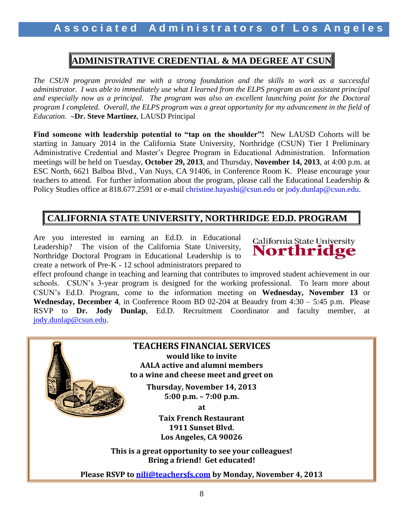# **ADMINISTRATIVE CREDENTIAL & MA DEGREE AT CSUN**

*The CSUN program provided me with a strong foundation and the skills to work as a successful administrator. I was able to immediately use what I learned from the ELPS program as an assistant principal and especially now as a principal. The program was also an excellent launching point for the Doctoral program I completed. Overall, the ELPS program was a great opportunity for my advancement in the field of Education.* **Dr. Steve Martinez**, LAUSD Principal

**Find someone with leadership potential to "tap on the shoulder"!** New LAUSD Cohorts will be starting in January 2014 in the California State University, Northridge (CSUN) Tier I Preliminary Administrative Credential and Master's Degree Program in Educational Administration. Information meetings will be held on Tuesday, **October 29, 2013**, and Thursday, **November 14, 2013**, at 4:00 p.m. at ESC North, 6621 Balboa Blvd., Van Nuys, CA 91406, in Conference Room K. Please encourage your teachers to attend. For further information about the program, please call the Educational Leadership & Policy Studies office at 818.677.2591 or e-mail christine.hayashi@csun.edu or jody.dunlap@csun.edu.

# **CALIFORNIA STATE UNIVERSITY, NORTHRIDGE ED.D. PROGRAM**

Are you interested in earning an Ed.D. in Educational Leadership? The vision of the California State University, Northridge Doctoral Program in Educational Leadership is to create a network of Pre-K - 12 school administrators prepared to



effect profound change in teaching and learning that contributes to improved student achievement in our schools. CSUN's 3-year program is designed for the working professional. To learn more about CSUN's Ed.D. Program, come to the information meeting on **Wednesday, November 13** or **Wednesday, December 4**, in Conference Room BD 02-204 at Beaudry from 4:30 – 5:45 p.m. Please RSVP to **Dr. Jody Dunlap**, Ed.D. Recruitment Coordinator and faculty member, at [jody.dunlap@csun.edu.](mailto:jody.dunlap@csun.edu)

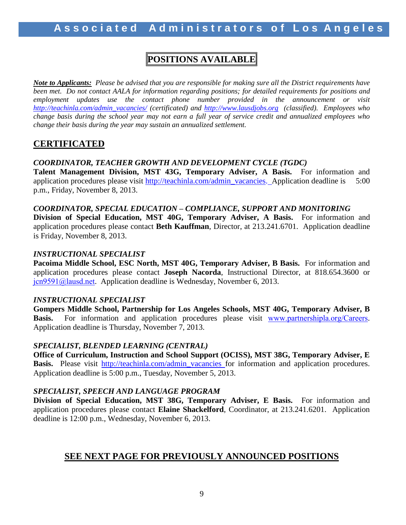# **POSITIONS AVAILABLE**

*Note to Applicants: Please be advised that you are responsible for making sure all the District requirements have been met. Do not contact AALA for information regarding positions; for detailed requirements for positions and employment updates use the contact phone number provided in the announcement or visit [http://teachinla.com/admin\\_vacancies/](http://teachinla.com/admin_vacancies/) (certificated) and [http://www.lausdjobs.org](http://www.lausdjobs.org/) (classified). Employees who change basis during the school year may not earn a full year of service credit and annualized employees who change their basis during the year may sustain an annualized settlement.*

# **CERTIFICATED**

## *COORDINATOR, TEACHER GROWTH AND DEVELOPMENT CYCLE (TGDC)*

**Talent Management Division, MST 43G, Temporary Adviser, A Basis.** For information and application procedures please visit [http://teachinla.com/admin\\_vacancies.](http://teachinla.com/admin_vacancies) Application deadline is 5:00 p.m., Friday, November 8, 2013.

### *COORDINATOR, SPECIAL EDUCATION – COMPLIANCE, SUPPORT AND MONITORING*

**Division of Special Education, MST 40G, Temporary Adviser, A Basis.** For information and application procedures please contact **Beth Kauffman**, Director, at 213.241.6701. Application deadline is Friday, November 8, 2013.

### *INSTRUCTIONAL SPECIALIST*

**Pacoima Middle School, ESC North, MST 40G, Temporary Adviser, B Basis.** For information and application procedures please contact **Joseph Nacorda**, Instructional Director, at 818.654.3600 or [jcn9591@lausd.net](mailto:jcn9591@lausd.net). Application deadline is Wednesday, November 6, 2013.

#### *INSTRUCTIONAL SPECIALIST*

**Gompers Middle School, Partnership for Los Angeles Schools, MST 40G, Temporary Adviser, B Basis.** For information and application procedures please visit [www.partnershipla.org/Careers](http://www.partnershipla.org/Careers). Application deadline is Thursday, November 7, 2013.

## *SPECIALIST, BLENDED LEARNING (CENTRAL)*

**Office of Curriculum, Instruction and School Support (OCISS), MST 38G, Temporary Adviser, E Basis.** Please visit [http://teachinla.com/admin\\_vacancies](http://teachinla.com/admin_vacancies) for information and application procedures. Application deadline is 5:00 p.m., Tuesday, November 5, 2013.

## *SPECIALIST, SPEECH AND LANGUAGE PROGRAM*

**Division of Special Education, MST 38G, Temporary Adviser, E Basis.** For information and application procedures please contact **Elaine Shackelford**, Coordinator, at 213.241.6201. Application deadline is 12:00 p.m., Wednesday, November 6, 2013.

# **SEE NEXT PAGE FOR PREVIOUSLY ANNOUNCED POSITIONS**